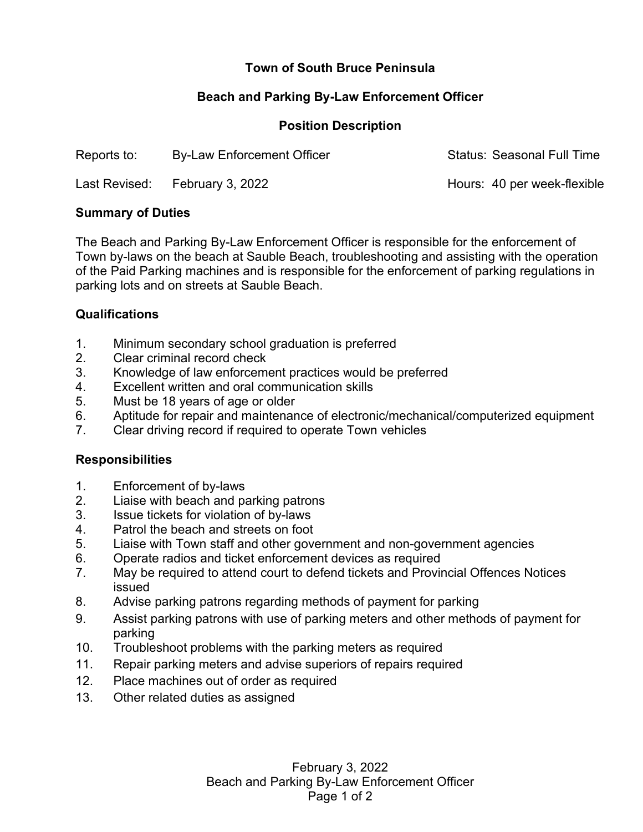# **Town of South Bruce Peninsula**

## **Beach and Parking By-Law Enforcement Officer**

### **Position Description**

| Reports to:   | <b>By-Law Enforcement Officer</b> | <b>Status: Seasonal Full Time</b> |
|---------------|-----------------------------------|-----------------------------------|
| Last Revised: | February 3, 2022                  | Hours: 40 per week-flexible       |

#### **Summary of Duties**

The Beach and Parking By-Law Enforcement Officer is responsible for the enforcement of Town by-laws on the beach at Sauble Beach, troubleshooting and assisting with the operation of the Paid Parking machines and is responsible for the enforcement of parking regulations in parking lots and on streets at Sauble Beach.

### **Qualifications**

- 1. Minimum secondary school graduation is preferred
- 2. Clear criminal record check
- 3. Knowledge of law enforcement practices would be preferred
- 4. Excellent written and oral communication skills
- 5. Must be 18 years of age or older
- 6. Aptitude for repair and maintenance of electronic/mechanical/computerized equipment
- 7. Clear driving record if required to operate Town vehicles

### **Responsibilities**

- 1. Enforcement of by-laws
- 2. Liaise with beach and parking patrons
- 3. Issue tickets for violation of by-laws
- 4. Patrol the beach and streets on foot
- 5. Liaise with Town staff and other government and non-government agencies
- 6. Operate radios and ticket enforcement devices as required
- 7. May be required to attend court to defend tickets and Provincial Offences Notices issued
- 8. Advise parking patrons regarding methods of payment for parking
- 9. Assist parking patrons with use of parking meters and other methods of payment for parking
- 10. Troubleshoot problems with the parking meters as required
- 11. Repair parking meters and advise superiors of repairs required
- 12. Place machines out of order as required
- 13. Other related duties as assigned